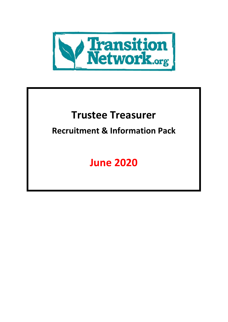

# **Trustee Treasurer**

## **Recruitment & Information Pack**

# **June 2020**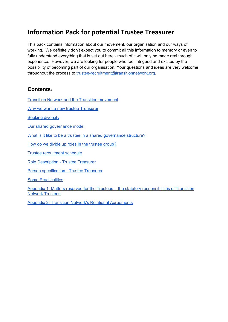### **Information Pack for potential Trustee Treasurer**

This pack contains information about our movement, our organisation and our ways of working. We definitely don't expect you to commit all this information to memory or even to fully understand everything that is set out here - much of it will only be made real through experience. However, we are looking for people who feel intrigued and excited by the possibility of becoming part of our organisation. Your questions and ideas are very welcome throughout the process to [trustee-recruitment@transitionnetwork.org](mailto:trustee-recruitment@transitionnetwork.org).

#### **Contents:**

Transition Network and the Transition [movement](#page-2-0)

Why we want a new [trustee](#page-2-1) Treasurer

**Seeking [diversity](#page-3-0)** 

Our shared [governance](#page-3-1) model

What is it like to be a trustee in a shared [governance](#page-4-0) structure?

How do we divide up roles in the trustee [group?](#page-5-0)

Trustee [recruitment](#page-5-1) schedule

Role [Description](#page-6-0) - Trustee Treasurer

Person [specification](#page-8-0) - Trustee Treasurer

Some [Practicalities](#page-9-0)

Appendix 1: Matters reserved for the Trustees - the statutory [responsibilities](#page-10-0) of Transition Network [Trustees](#page-10-0)

Appendix 2: Transition Network's Relational [Agreements](#page-14-0)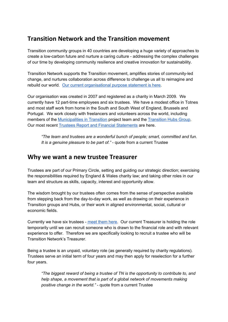### <span id="page-2-0"></span>**Transition Network and the Transition movement**

Transition community groups in 40 countries are developing a huge variety of approaches to create a low-carbon future and nurture a caring culture - addressing the complex challenges of our time by developing community resilience and creative innovation for sustainability.

Transition Network supports the Transition movement, amplifies stories of community-led change, and nurtures collaboration across difference to challenge us all to reimagine and rebuild our world. Our current [organisational](https://transitionnetwork.org/about-the-movement/the-charity/purpose/) purpose statement is here.

Our organisation was created in 2007 and registered as a charity in March 2009. We currently have 12 part-time employees and six trustees. We have a modest office in Totnes and most staff work from home in the South and South West of England, Brussels and Portugal. We work closely with freelancers and volunteers across the world, including members of the [Municipalities](http://municipalitiesintransition.org/) in [Transition](https://transitionnetwork.org/about-the-movement/international-hubs-circle/) project team and the Transition Hubs Group. Our most recent Trustees Report and Financial [Statements](https://transitionnetwork.org/wp-content/uploads/2020/01/Transition-Network-Trustees-Report-and-Financial-Statements-March-2019.pdf) are here.

*"The team and trustees are a wonderful bunch of people; smart, committed and fun. It is a genuine pleasure to be part of."* - quote from a current Trustee

### <span id="page-2-1"></span>**Why we want a new trustee Treasurer**

Trustees are part of our Primary Circle, setting and guiding our strategic direction; exercising the responsibilities required by England & Wales charity law; and taking other roles in our team and structure as skills, capacity, interest and opportunity allow.

The wisdom brought by our trustees often comes from the sense of perspective available from stepping back from the day-to-day work, as well as drawing on their experience in Transition groups and Hubs, or their work in aligned environmental, social, cultural or economic fields.

Currently we have six trustees - meet [them](https://transitionnetwork.org/about-the-movement/the-charity/people/) here. Our current Treasurer is holding the role temporarily until we can recruit someone who is drawn to the financial role and with relevant experience to offer. Therefore we are specifically looking to recruit a trustee who will be Transition Network's Treasurer.

Being a trustee is an unpaid, voluntary role (as generally required by charity regulations). Trustees serve an initial term of four years and may then apply for reselection for a further four years.

*"The biggest reward of being a trustee of TN is the opportunity to contribute to, and help shape, a movement that is part of a global network of movements making positive change in the world."* - quote from a current Trustee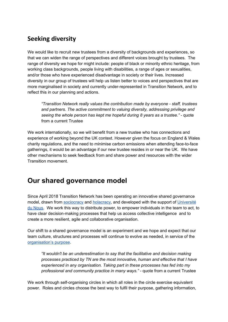### <span id="page-3-0"></span>**Seeking diversity**

We would like to recruit new trustees from a diversity of backgrounds and experiences, so that we can widen the range of perspectives and different voices brought by trustees. The range of diversity we hope for might include: people of black or minority ethnic heritage, from working class backgrounds, people living with disabilities, a range of ages or sexualities, and/or those who have experienced disadvantage in society or their lives. Increased diversity in our group of trustees will help us listen better to voices and perspectives that are more marginalised in society and currently under-represented in Transition Network, and to reflect this in our planning and actions.

*"Transition Network really values the contribution made by everyone - staff, trustees and partners. The active commitment to valuing diversity, addressing privilege and seeing the whole person has kept me hopeful during 8 years as a trustee."* - quote from a current Trustee

We work internationally, so we will benefit from a new trustee who has connections and experience of working beyond the UK context. However given the focus on England & Wales charity regulations, and the need to minimise carbon emissions when attending face-to-face gatherings, it would be an advantage if our new trustee resides in or near the UK. We have other mechanisms to seek feedback from and share power and resources with the wider Transition movement.

### <span id="page-3-1"></span>**Our shared governance model**

Since April 2018 Transition Network has been operating an innovative shared governance model, drawn from [sociocracy](https://sociocracy30.org/) and [holacracy,](https://www.holacracy.org/what-is-holacracy) and developed with the support of [Université](http://universite-du-nous.org/) du [Nous](http://universite-du-nous.org/). We work this way to distribute power, to empower individuals in the team to act, to have clear decision-making processes that help us access collective intelligence and to create a more resilient, agile and collaborative organisation.

Our shift to a shared governance model is an experiment and we hope and expect that our team culture, structures and processes will continue to evolve as needed, in service of the [organisation's](https://transitionnetwork.org/about-the-movement/the-charity/purpose/) purpose.

*"It wouldn't be an underestimation to say that the facilitative and decision making processes practiced by TN are the most innovative, human and effective that I have experienced in any organisation. Taking part in these processes has fed into my professional and community practice in many ways." -* quote from a current Trustee

We work through self-organising circles in which all roles in the circle exercise equivalent power. Roles and circles choose the best way to fulfil their purpose, gathering information,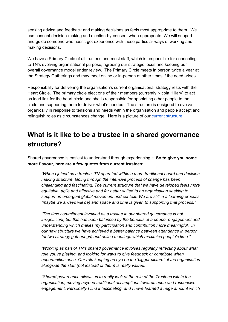seeking advice and feedback and making decisions as feels most appropriate to them. We use consent decision-making and election-by-consent when appropriate. We will support and guide someone who hasn't got experience with these particular ways of working and making decisions.

We have a Primary Circle of all trustees and most staff, which is responsible for connecting to TN's evolving organisational purpose, agreeing our strategic focus and keeping our overall governance model under review. The Primary Circle meets in person twice a year at the Strategy Gatherings and may meet online or in-person at other times if the need arises.

Responsibility for delivering the organisation's current organisational strategy rests with the Heart Circle. The primary circle elect one of their members (currently Nicola Hillary) to act as lead link for the heart circle and she is responsible for appointing other people to the circle and supporting them to deliver what's needed. The structure is designed to evolve organically in response to tensions and needs within the organisation and people accept and relinguish roles as circumstances change. Here is a picture of our current [structure.](https://transitionnetwork.org/wp-content/uploads/2020/05/Shared-Governance-Structure-May-2020.pdf)

### <span id="page-4-0"></span>**What is it like to be a trustee in a shared governance structure?**

Shared governance is easiest to understand through experiencing it. **So to give you some more flavour, here are a few quotes from current trustees:**

*"When I joined as a trustee, TN operated within a more traditional board and decision making structure. Going through the intensive process of change has been challenging and fascinating. The current structure that we have developed feels more equitable, agile and effective and far better suited to an organisation seeking to support an emergent global movement and context. We are still in a learning process (maybe we always will be) and space and time is given to supporting that process."*

*"The time commitment involved as a trustee in our shared governance is not insignificant, but this has been balanced by the benefits of a deeper engagement and understanding which makes my participation and contribution more meaningful. In our new structure we have achieved a better balance between attendance in person (at two strategy gatherings) and online meetings which maximise people's time."*

*"Working as part of TN's shared governance involves regularly reflecting about what role you're playing, and looking for ways to give feedback or contribute when opportunities arise. Our role keeping an eye on the 'bigger picture' of the organisation alongside the staff (not instead of them) is really valued."*

*"Shared governance allows us to really look at the role of the Trustees within the organisation, moving beyond traditional assumptions towards open and responsive engagement. Personally I find it fascinating, and I have learned a huge amount which*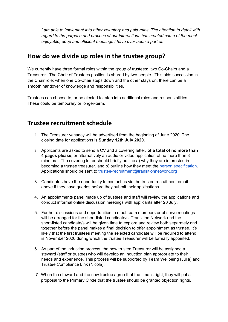*I am able to implement into other voluntary and paid roles. The attention to detail with regard to the purpose and process of our interactions has created some of the most enjoyable, deep and efficient meetings I have ever been a part of."*

### <span id="page-5-0"></span>**How do we divide up roles in the trustee group?**

We currently have three formal roles within the group of trustees: two Co-Chairs and a Treasurer. The Chair of Trustees position is shared by two people. This aids succession in the Chair role; when one Co-Chair steps down and the other stays on, there can be a smooth handover of knowledge and responsibilities.

Trustees can choose to, or be elected to, step into additional roles and responsibilities. These could be temporary or longer-term.

### <span id="page-5-1"></span>**Trustee recruitment schedule**

- 1. The Treasurer vacancy will be advertised from the beginning of June 2020. The closing date for applications is **Sunday 12th July 2020**.
- 2. Applicants are asked to send a CV and a covering letter, **of a total of no more than 4 pages please**, or alternatively an audio or video application of no more than 8 minutes. The covering letter should briefly outline a) why they are interested in becoming a trustee treasurer, and b) outline how they meet the person [specification.](#page-8-0) Applications should be sent to [trustee-recruitment@transitionnetwork.org](mailto:trustee-recruitment@transitionnetwork.org)
- 3. Candidates have the opportunity to contact us via the trustee recruitment email above if they have queries before they submit their applications.
- 4. An appointments panel made up of trustees and staff will review the applications and conduct informal online discussion meetings with applicants after 20 July**.**
- 5. Further discussions and opportunities to meet team members or observe meetings will be arranged for the short-listed candidate/s. Transition Network and the short-listed candidate/s will be given time to explore and review both separately and together before the panel makes a final decision to offer appointment as trustee. It's likely that the first trustees meeting the selected candidate will be required to attend is November 2020 during which the trustee Treasurer will be formally appointed.
- 6. As part of the induction process, the new trustee Treasurer will be assigned a steward (staff or trustee) who will develop an induction plan appropriate to their needs and experience. This process will be supported by Team Wellbeing (Julia) and Trustee Compliance Link (Nicola).
- 7. When the steward and the new trustee agree that the time is right, they will put a proposal to the Primary Circle that the trustee should be granted objection rights.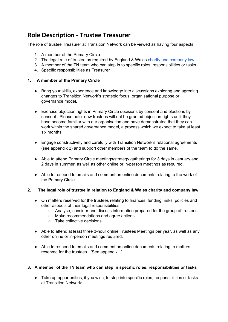### <span id="page-6-0"></span>**Role Description - Trustee Treasurer**

The role of trustee Treasurer at Transition Network can be viewed as having four aspects:

- 1. A member of the Primary Circle
- 2. The legal role of trustee as required by England & Wales charity and [company](https://www.gov.uk/government/publications/the-essential-trustee-what-you-need-to-know-cc3/the-essential-trustee-what-you-need-to-know-what-you-need-to-do) law
- 3. A member of the TN team who can step in to specific roles, responsibilities or tasks
- 4. Specific responsibilities as Treasurer

#### **1. A member of the Primary Circle**

- Bring your skills, experience and knowledge into discussions exploring and agreeing changes to Transition Network's strategic focus, organisational purpose or governance model.
- Exercise objection rights in Primary Circle decisions by consent and elections by consent. Please note: new trustees will not be granted objection rights until they have become familiar with our organisation and have demonstrated that they can work within the shared governance model, a process which we expect to take at least six months.
- Engage constructively and carefully with Transition Network's relational agreements (see appendix 2) and support other members of the team to do the same.
- Able to attend Primary Circle meetings/strategy gatherings for 3 days in January and 2 days in summer, as well as other online or in-person meetings as required.
- Able to respond to emails and comment on online documents relating to the work of the Primary Circle.

#### **2. The legal role of trustee in relation to England & Wales charity and company law**

- On matters reserved for the trustees relating to finances, funding, risks, policies and other aspects of their legal responsibilities:
	- Analyse, consider and discuss information prepared for the group of trustees;
	- Make recommendations and agree actions;
	- Take collective decisions.
- Able to attend at least three 3-hour online Trustees Meetings per year, as well as any other online or in-person meetings required.
- Able to respond to emails and comment on online documents relating to matters reserved for the trustees. (See appendix 1)

#### **3. A member of the TN team who can step in specific roles, responsibilities or tasks**

● Take up opportunities, if you wish, to step into specific roles, responsibilities or tasks at Transition Network: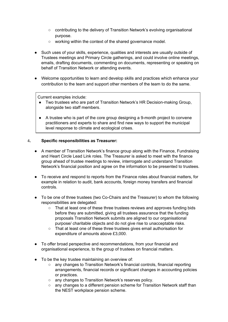- contributing to the delivery of Transition Network's evolving organisational purpose.
- working within the context of the shared governance model.
- Such uses of your skills, experience, qualities and interests are usually outside of Trustees meetings and Primary Circle gatherings, and could involve online meetings, emails, drafting documents, commenting on documents, representing or speaking on behalf of Transition Network or attending events.
- Welcome opportunities to learn and develop skills and practices which enhance your contribution to the team and support other members of the team to do the same.

Current examples include:

- Two trustees who are part of Transition Network's HR Decision-making Group, alongside two staff members.
- A trustee who is part of the core group designing a 9-month project to convene practitioners and experts to share and find new ways to support the municipal level response to climate and ecological crises.

#### 4**. Specific responsibilities as Treasurer:**

- A member of Transition Network's finance group along with the Finance, Fundraising and Heart Circle Lead Link roles. The Treasurer is asked to meet with the finance group ahead of trustee meetings to review, interrogate and understand Transition Network's financial position and agree on the information to be presented to trustees.
- To receive and respond to reports from the Finance roles about financial matters, for example in relation to audit, bank accounts, foreign money transfers and financial controls.
- To be one of three trustees (two Co-Chairs and the Treasurer) to whom the following responsibilities are delegated:
	- That at least one of these three trustees reviews and approves funding bids before they are submitted, giving all trustees assurance that the funding proposals Transition Network submits are aligned to our organisational purpose/ charitable objects and do not give rise to unacceptable risks.
	- That at least one of these three trustees gives email authorisation for expenditure of amounts above £3,000.
- To offer broad perspective and recommendations, from your financial and organisational experience, to the group of trustees on financial matters.
- To be the key trustee maintaining an overview of:
	- any changes to Transition Network's financial controls, financial reporting arrangements, financial records or significant changes in accounting policies or practices.
	- any changes to Transition Network's reserves policy.
	- $\circ$  any changes to a different pension scheme for Transition Network staff than the NEST workplace pension scheme.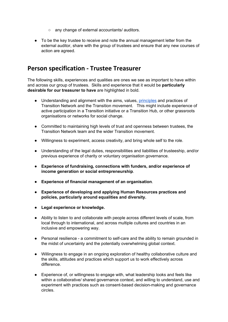- any change of external accountants/ auditors.
- To be the key trustee to receive and note the annual management letter from the external auditor, share with the group of trustees and ensure that any new courses of action are agreed.

### <span id="page-8-0"></span>**Person specification - Trustee Treasurer**

The following skills, experiences and qualities are ones we see as important to have within and across our group of trustees. Skills and experience that it would be **particularly desirable for our treasurer to have** are highlighted in bold.

- Understanding and alignment with the aims, values, [principles](https://transitionnetwork.org/about-the-movement/what-is-transition/principles-2/) and practices of Transition Network and the Transition movement. This might include experience of active participation in a Transition initiative or a Transition Hub, or other grassroots organisations or networks for social change.
- Committed to maintaining high levels of trust and openness between trustees, the Transition Network team and the wider Transition movement.
- Willingness to experiment, access creativity, and bring whole self to the role.
- Understanding of the legal duties, responsibilities and liabilities of trusteeship, and/or previous experience of charity or voluntary organisation governance.
- **● Experience of fundraising, connections with funders, and/or experience of income generation or social entrepreneurship**.
- **Experience of financial management of an organisation**.
- **● Experience of developing and applying Human Resources practices and policies, particularly around equalities and diversity.**
- **● Legal experience or knowledge.**
- Ability to listen to and collaborate with people across different levels of scale, from local through to international, and across multiple cultures and countries in an inclusive and empowering way.
- Personal resilience a commitment to self-care and the ability to remain grounded in the midst of uncertainty and the potentially overwhelming global context.
- Willingness to engage in an ongoing exploration of healthy collaborative culture and the skills, attitudes and practices which support us to work effectively across difference.
- Experience of, or willingness to engage with, what leadership looks and feels like within a collaborative/ shared governance context, and willing to understand, use and experiment with practices such as consent-based decision-making and governance circles.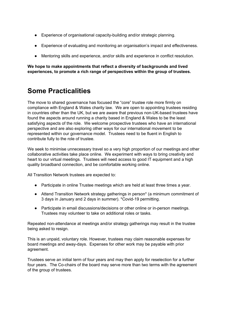- Experience of organisational capacity-building and/or strategic planning.
- Experience of evaluating and monitoring an organisation's impact and effectiveness.
- Mentoring skills and experience, and/or skills and experience in conflict resolution.

**We hope to make appointments that reflect a diversity of backgrounds and lived experiences, to promote a rich range of perspectives within the group of trustees.**

### <span id="page-9-0"></span>**Some Practicalities**

The move to shared governance has focused the "core" trustee role more firmly on compliance with England & Wales charity law. We are open to appointing trustees residing in countries other than the UK, but we are aware that previous non-UK-based trustees have found the aspects around running a charity based in England & Wales to be the least satisfying aspects of the role. We welcome prospective trustees who have an international perspective and are also exploring other ways for our international movement to be represented within our governance model. Trustees need to be fluent in English to contribute fully to the role of trustee.

We seek to minimise unnecessary travel so a very high proportion of our meetings and other collaborative activities take place online. We experiment with ways to bring creativity and heart to our virtual meetings. Trustees will need access to good IT equipment and a high quality broadband connection, and be comfortable working online.

All Transition Network trustees are expected to:

- Participate in online Trustee meetings which are held at least three times a year.
- Attend Transition Network strategy gatherings in person\* (a minimum commitment of 3 days in January and 2 days in summer). \*Covid-19 permitting.
- Participate in email discussions/decisions or other online or in-person meetings. Trustees may volunteer to take on additional roles or tasks.

Repeated non-attendance at meetings and/or strategy gatherings may result in the trustee being asked to resign.

This is an unpaid, voluntary role. However, trustees may claim reasonable expenses for board meetings and away-days. Expenses for other work may be payable with prior agreement.

Trustees serve an initial term of four years and may then apply for reselection for a further four years. The Co-chairs of the board may serve more than two terms with the agreement of the group of trustees.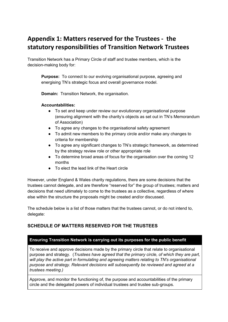### <span id="page-10-0"></span>**Appendix 1: Matters reserved for the Trustees - the statutory responsibilities of Transition Network Trustees**

Transition Network has a Primary Circle of staff and trustee members, which is the decision-making body for:

**Purpose:** To connect to our evolving organisational purpose, agreeing and energising TN's strategic focus and overall governance model.

**Domain:** Transition Network, the organisation.

#### **Accountabilities:**

- To set and keep under review our evolutionary organisational purpose (ensuring alignment with the charity's objects as set out in TN's Memorandum of Association)
- To agree any changes to the organisational safety agreement
- To admit new members to the primary circle and/or make any changes to criteria for membership
- To agree any significant changes to TN's strategic framework, as determined by the strategy review role or other appropriate role
- To determine broad areas of focus for the organisation over the coming 12 months
- To elect the lead link of the Heart circle

However, under England & Wales charity regulations, there are some decisions that the trustees cannot delegate, and are therefore "reserved for" the group of trustees; matters and decisions that need ultimately to come to the trustees as a collective, regardless of where else within the structure the proposals might be created and/or discussed.

The schedule below is a list of those matters that the trustees cannot, or do not intend to, delegate:

#### **SCHEDULE OF MATTERS RESERVED FOR THE TRUSTEES**

#### **Ensuring Transition Network is carrying out its purposes for the public benefit**

To receive and approve decisions made by the primary circle that relate to organisational purpose and strategy. (*Trustees have agreed that the primary circle, of which they are part, will play the active part in formulating and agreeing matters relating to TN's organisational purpose and strategy. Relevant decisions will subsequently be reviewed and agreed at a trustees meeting.)*

Approve, and monitor the functioning of, the purpose and accountabilities of the primary circle and the delegated powers of individual trustees and trustee sub-groups.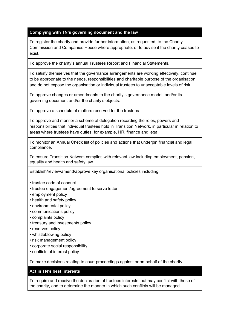#### **Complying with TN's governing document and the law**

To register the charity and provide further information, as requested, to the Charity Commission and Companies House where appropriate, or to advise if the charity ceases to exist.

To approve the charity's annual Trustees Report and Financial Statements.

To satisfy themselves that the governance arrangements are working effectively, continue to be appropriate to the needs, responsibilities and charitable purpose of the organisation and do not expose the organisation or individual trustees to unacceptable levels of risk.

To approve changes or amendments to the charity's governance model, and/or its governing document and/or the charity's objects.

To approve a schedule of matters reserved for the trustees.

To approve and monitor a scheme of delegation recording the roles, powers and responsibilities that individual trustees hold in Transition Network, in particular in relation to areas where trustees have duties, for example, HR, finance and legal.

To monitor an Annual Check list of policies and actions that underpin financial and legal compliance.

To ensure Transition Network complies with relevant law including employment, pension, equality and health and safety law.

Establish/review/amend/approve key organisational policies including:

- trustee code of conduct
- trustee engagement/agreement to serve letter
- employment policy
- health and safety policy
- environmental policy
- communications policy
- complaints policy
- treasury and investments policy
- reserves policy
- whistleblowing policy
- risk management policy
- corporate social responsibility
- conflicts of interest policy

To make decisions relating to court proceedings against or on behalf of the charity.

#### **Act in TN's best interests**

To require and receive the declaration of trustees interests that may conflict with those of the charity, and to determine the manner in which such conflicts will be managed.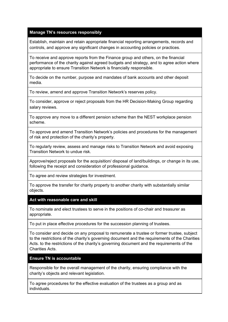#### **Manage TN's resources responsibly**

Establish, maintain and retain appropriate financial reporting arrangements, records and controls, and approve any significant changes in accounting policies or practices.

To receive and approve reports from the Finance group and others, on the financial performance of the charity against agreed budgets and strategy, and to agree action where appropriate to ensure Transition Network is financially responsible.

To decide on the number, purpose and mandates of bank accounts and other deposit media.

To review, amend and approve Transition Network's reserves policy.

To consider, approve or reject proposals from the HR Decision-Making Group regarding salary reviews.

To approve any move to a different pension scheme than the NEST workplace pension scheme.

To approve and amend Transition Network's policies and procedures for the management of risk and protection of the charity's property.

To regularly review, assess and manage risks to Transition Network and avoid exposing Transition Network to undue risk.

Approve/reject proposals for the acquisition/ disposal of land/buildings, or change in its use, following the receipt and consideration of professional guidance.

To agree and review strategies for investment.

To approve the transfer for charity property to another charity with substantially similar objects.

**Act with reasonable care and skill**

To nominate and elect trustees to serve in the positions of co-chair and treasurer as appropriate.

To put in place effective procedures for the succession planning of trustees.

To consider and decide on any proposal to remunerate a trustee or former trustee, subject to the restrictions of the charity's governing document and the requirements of the Charities Acts. to the restrictions of the charity's governing document and the requirements of the Charities Acts.

**Ensure TN is accountable**

Responsible for the overall management of the charity, ensuring compliance with the charity's objects and relevant legislation.

To agree procedures for the effective evaluation of the trustees as a group and as individuals.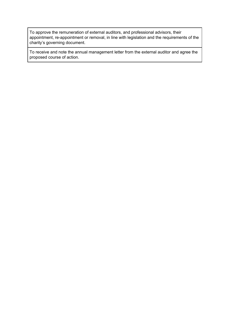To approve the remuneration of external auditors, and professional advisors, their appointment, re-appointment or removal, in line with legislation and the requirements of the charity's governing document.

To receive and note the annual management letter from the external auditor and agree the proposed course of action.